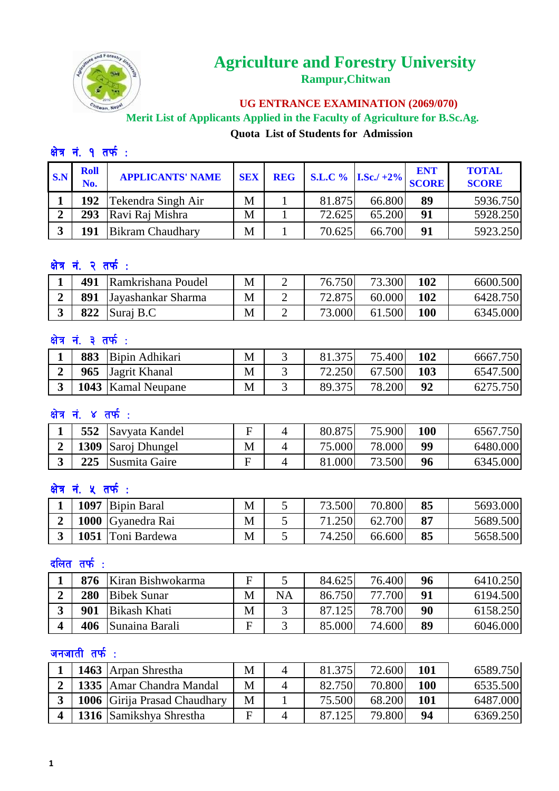

## **Agriculture and Forestry University Rampur,Chitwan**

 **UG ENTRANCE EXAMINATION (2069/070)**

 **Merit List of Applicants Applied in the Faculty of Agriculture for B.Sc.Ag. Quota List of Students for Admission** 

## क्षेत्र नं. १ तर्फ:

| $\mathbf{S}.\mathbf{N}$ | <b>Roll</b><br>No. | <b>APPLICANTS' NAME</b> | <b>SEX</b> | <b>REG</b> |        | $ $ S.L.C % I.Sc./+2% SCORE | <b>ENT</b> | <b>TOTAL</b><br><b>SCORE</b> |
|-------------------------|--------------------|-------------------------|------------|------------|--------|-----------------------------|------------|------------------------------|
|                         |                    | 192 Tekendra Singh Air  | M          |            | 81.875 | 66.800                      | 89         | 5936.750                     |
|                         | 293                | Ravi Raj Mishra         | M          |            | 72.625 | 65.200                      | 91         | 5928.250                     |
|                         | 191                | <b>Bikram Chaudhary</b> | M          |            | 70.625 | 66.700                      | 91         | 5923.250                     |

### क्षेत्र नं. २ तर्फ:

| 491 | Ramkrishana Poudel | M | - | 76.750 | 73.300 | 102 | 6600.500 |
|-----|--------------------|---|---|--------|--------|-----|----------|
| 891 | Jayashankar Sharma | M | - | 72.875 | 60.000 | 102 | 6428.750 |
| 822 | Suraj B.C          | M | - | 73.000 | 61.500 | 100 | 6345.000 |

#### क्षेत्र नं. ३ तर्फ:

| 883 | Bipin Adhikari            | M | 275    | 75.4001 | 102 | 6667.750 |
|-----|---------------------------|---|--------|---------|-----|----------|
|     | 965 Jagrit Khanal         | M |        | 67.500  | 103 | 6547.500 |
|     | <b>1043</b> Kamal Neupane | M | 89.375 | 78.200  | 92  | 6275.750 |

#### क्षेत्र नं. ४ तर्फ:

| 552 | Savyata Kandel     | Ħ | 80.875 | 75.900 | 100 | .750 <br>6567. |
|-----|--------------------|---|--------|--------|-----|----------------|
|     | 1309 Saroj Dhungel | M | 75.000 | 78.000 | 99  | 6480.000       |
| 225 | Susmita Gaire      | Е | 81.000 | 73.500 | 96  | 6345.000       |

#### क्षेत्र नं. **५** तर्फ:

| 1097 | <b>Bipin Baral</b> | M | 73.500 | 70.800 | 85 | 5693.000 |
|------|--------------------|---|--------|--------|----|----------|
|      | 1000 Gyanedra Rai  | M |        | 62.700 | 87 | 5689.500 |
|      | 1051 Toni Bardewa  | M | 74.250 | 66.600 | 85 | 5658.500 |

#### $\epsilon$ लित तर्फ:

|   | 876 | Kiran Bishwokarma   | F |    | 84.625 | 76.400 | 96 | 6410.250 |
|---|-----|---------------------|---|----|--------|--------|----|----------|
| ◠ | 280 | <b>Bibek Sunar</b>  | M | NA | 86.750 | 77.700 | 91 | 6194.500 |
|   | 901 | <b>Bikash Khati</b> | M |    |        | 78.700 | 90 | 6158.250 |
|   | 406 | Sunaina Barali      | F |    | 85.000 | 74.600 | 89 | 6046.000 |

#### जनजाती तर्फ $\cdot$ :

|  | 1463 Arpan Shrestha                 | M | 81.375 | 72.600 | 101 | 6589.750 |
|--|-------------------------------------|---|--------|--------|-----|----------|
|  | 2   1335   Amar Chandra Mandal      | M | 82.750 | 70.800 | 100 | 6535.500 |
|  | <b>1006</b> Girija Prasad Chaudhary | M | 75.500 | 68.200 | 101 | 6487.000 |
|  | 1316 Samikshya Shrestha             | F |        | 79.800 | 94  | 6369.250 |